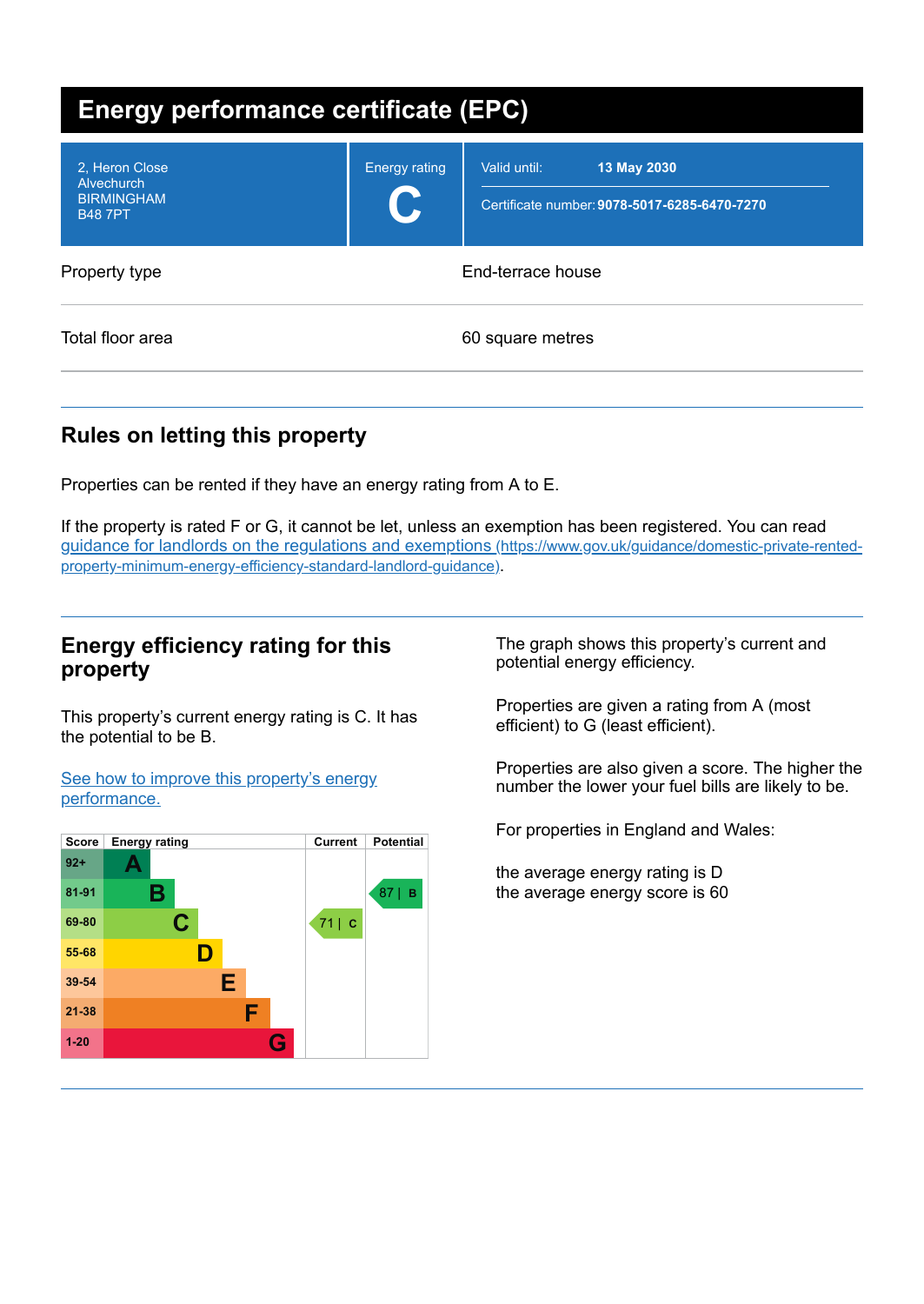| Energy performance certificate (EPC)                               |                            |                                                                             |
|--------------------------------------------------------------------|----------------------------|-----------------------------------------------------------------------------|
| 2. Heron Close<br>Alvechurch<br><b>BIRMINGHAM</b><br><b>B487PT</b> | <b>Energy rating</b><br>U. | 13 May 2030<br>Valid until:<br>Certificate number: 9078-5017-6285-6470-7270 |
| Property type                                                      | End-terrace house          |                                                                             |
| Total floor area                                                   |                            | 60 square metres                                                            |

# **Rules on letting this property**

Properties can be rented if they have an energy rating from A to E.

If the property is rated F or G, it cannot be let, unless an exemption has been registered. You can read guidance for landlords on the regulations and exemptions (https://www.gov.uk/guidance/domestic-private-rented[property-minimum-energy-efficiency-standard-landlord-guidance\)](https://www.gov.uk/guidance/domestic-private-rented-property-minimum-energy-efficiency-standard-landlord-guidance).

## **Energy efficiency rating for this property**

This property's current energy rating is C. It has the potential to be B.

See how to improve this property's energy [performance.](#page-2-0)



The graph shows this property's current and potential energy efficiency.

Properties are given a rating from A (most efficient) to G (least efficient).

Properties are also given a score. The higher the number the lower your fuel bills are likely to be.

For properties in England and Wales:

the average energy rating is D the average energy score is 60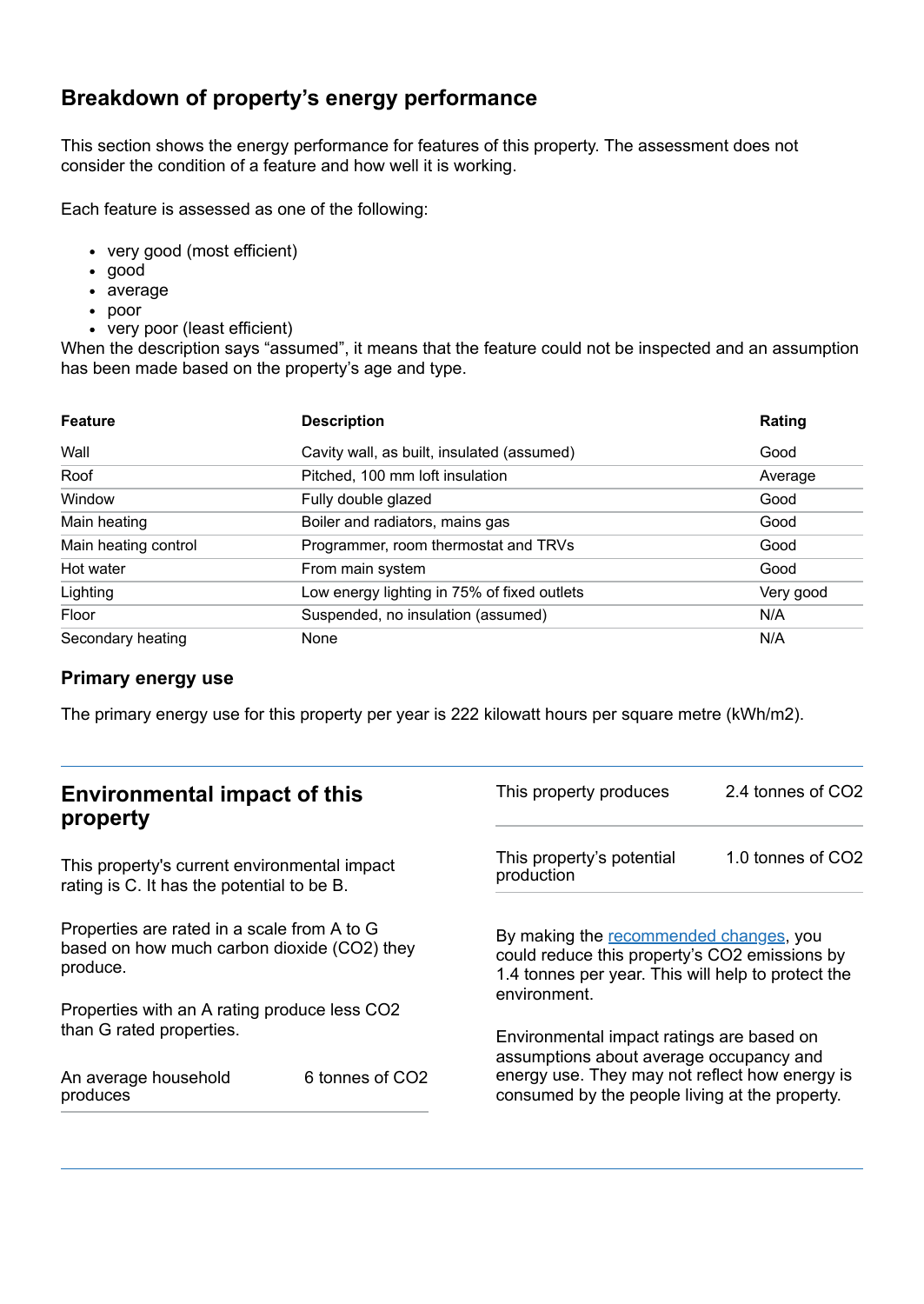## **Breakdown of property's energy performance**

This section shows the energy performance for features of this property. The assessment does not consider the condition of a feature and how well it is working.

Each feature is assessed as one of the following:

- very good (most efficient)
- good
- average
- poor
- very poor (least efficient)

When the description says "assumed", it means that the feature could not be inspected and an assumption has been made based on the property's age and type.

| <b>Feature</b>       | <b>Description</b>                          | Rating    |
|----------------------|---------------------------------------------|-----------|
| Wall                 | Cavity wall, as built, insulated (assumed)  | Good      |
| Roof                 | Pitched, 100 mm loft insulation             | Average   |
| Window               | Fully double glazed                         | Good      |
| Main heating         | Boiler and radiators, mains gas             | Good      |
| Main heating control | Programmer, room thermostat and TRVs        | Good      |
| Hot water            | From main system                            | Good      |
| Lighting             | Low energy lighting in 75% of fixed outlets | Very good |
| Floor                | Suspended, no insulation (assumed)          | N/A       |
| Secondary heating    | None                                        | N/A       |

### **Primary energy use**

The primary energy use for this property per year is 222 kilowatt hours per square metre (kWh/m2).

| <b>Environmental impact of this</b><br>property                                                        |                             | This property produces                                                                                                                                        | 2.4 tonnes of CO2 |
|--------------------------------------------------------------------------------------------------------|-----------------------------|---------------------------------------------------------------------------------------------------------------------------------------------------------------|-------------------|
| This property's current environmental impact<br>rating is C. It has the potential to be B.             |                             | This property's potential<br>production                                                                                                                       | 1.0 tonnes of CO2 |
| Properties are rated in a scale from A to G<br>based on how much carbon dioxide (CO2) they<br>produce. |                             | By making the recommended changes, you<br>could reduce this property's CO2 emissions by<br>1.4 tonnes per year. This will help to protect the<br>environment. |                   |
| Properties with an A rating produce less CO2                                                           |                             |                                                                                                                                                               |                   |
| than G rated properties.                                                                               |                             | Environmental impact ratings are based on<br>assumptions about average occupancy and                                                                          |                   |
| An average household<br>produces                                                                       | 6 tonnes of CO <sub>2</sub> | energy use. They may not reflect how energy is<br>consumed by the people living at the property.                                                              |                   |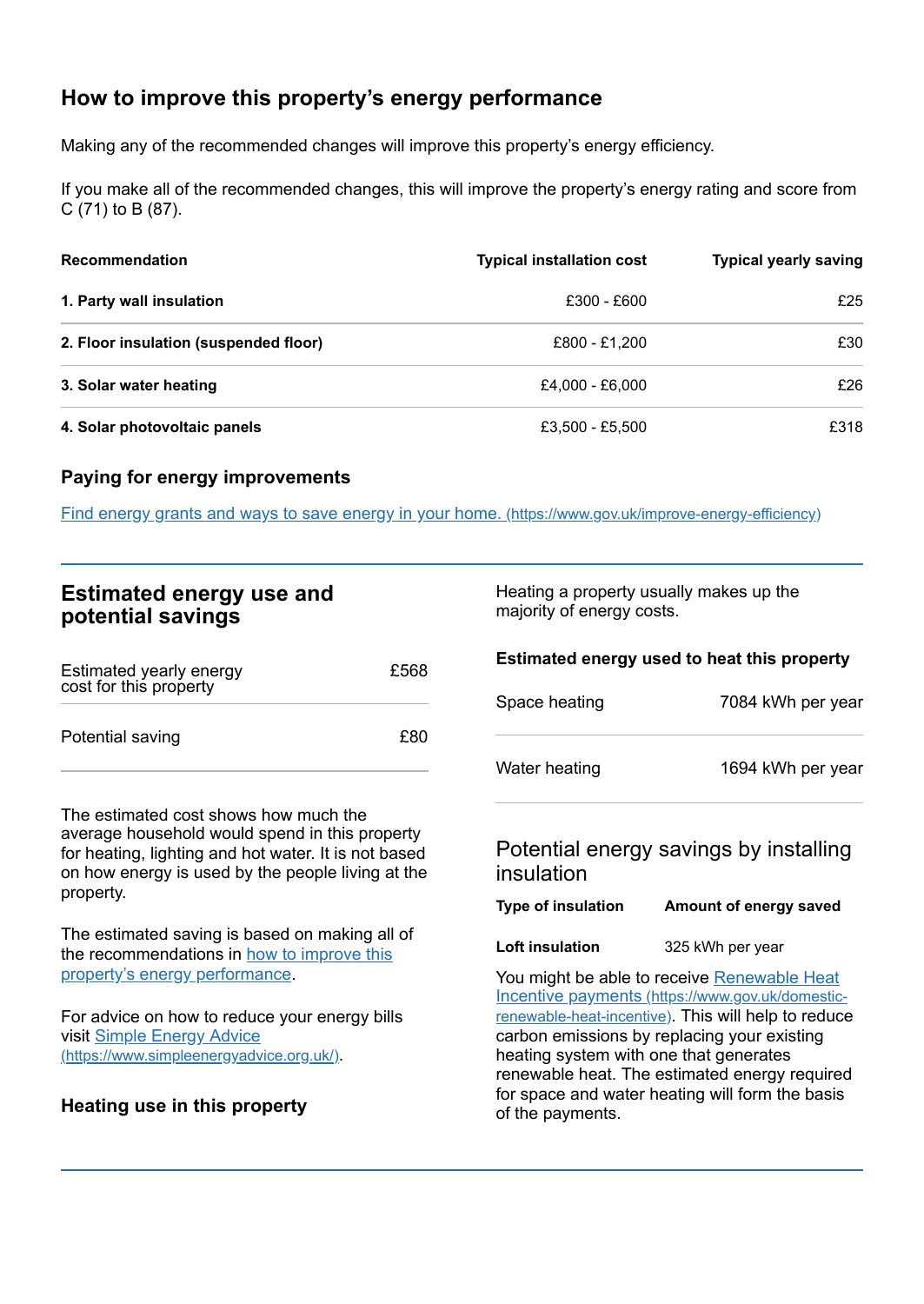# <span id="page-2-0"></span>**How to improve this property's energy performance**

Making any of the recommended changes will improve this property's energy efficiency.

If you make all of the recommended changes, this will improve the property's energy rating and score from C (71) to B (87).

| <b>Recommendation</b>                 | <b>Typical installation cost</b> | <b>Typical yearly saving</b> |
|---------------------------------------|----------------------------------|------------------------------|
| 1. Party wall insulation              | £300 - £600                      | £25                          |
| 2. Floor insulation (suspended floor) | £800 - £1.200                    | £30                          |
| 3. Solar water heating                | £4,000 - £6,000                  | £26                          |
| 4. Solar photovoltaic panels          | £3,500 - £5,500                  | £318                         |

### **Paying for energy improvements**

Find energy grants and ways to save energy in your home. [\(https://www.gov.uk/improve-energy-efficiency\)](https://www.gov.uk/improve-energy-efficiency)

## **Estimated energy use and potential savings**

| Estimated yearly energy<br>cost for this property | £568 |
|---------------------------------------------------|------|
| Potential saving                                  | £80  |

The estimated cost shows how much the average household would spend in this property for heating, lighting and hot water. It is not based on how energy is used by the people living at the property.

The estimated saving is based on making all of the [recommendations](#page-2-0) in how to improve this property's energy performance.

For advice on how to reduce your energy bills visit Simple Energy Advice [\(https://www.simpleenergyadvice.org.uk/\)](https://www.simpleenergyadvice.org.uk/).

### **Heating use in this property**

Heating a property usually makes up the majority of energy costs.

#### **Estimated energy used to heat this property**

| Space heating | 7084 kWh per year |
|---------------|-------------------|
| Water heating | 1694 kWh per year |

## Potential energy savings by installing insulation

| <b>Type of insulation</b><br>Amount of energy saved |  |  |
|-----------------------------------------------------|--|--|
|-----------------------------------------------------|--|--|

**Loft insulation** 325 kWh per year

You might be able to receive Renewable Heat Incentive payments [\(https://www.gov.uk/domestic](https://www.gov.uk/domestic-renewable-heat-incentive)renewable-heat-incentive). This will help to reduce carbon emissions by replacing your existing heating system with one that generates renewable heat. The estimated energy required for space and water heating will form the basis of the payments.